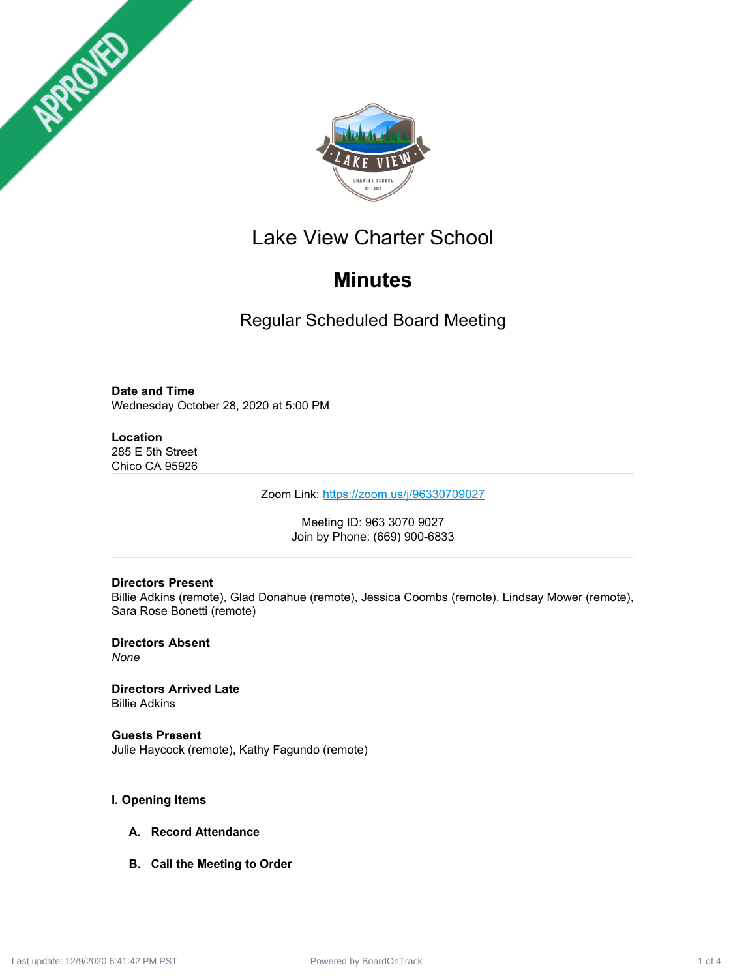



## Lake View Charter School

# **Minutes**

Regular Scheduled Board Meeting

**Date and Time** Wednesday October 28, 2020 at 5:00 PM

**Location** 285 E 5th Street Chico CA 95926

Zoom Link: <https://zoom.us/j/96330709027>

Meeting ID: 963 3070 9027 Join by Phone: (669) 900-6833

### **Directors Present**

Billie Adkins (remote), Glad Donahue (remote), Jessica Coombs (remote), Lindsay Mower (remote), Sara Rose Bonetti (remote)

**Directors Absent** *None*

**Directors Arrived Late** Billie Adkins

**Guests Present** Julie Haycock (remote), Kathy Fagundo (remote)

## **I. Opening Items**

- **A. Record Attendance**
- **B. Call the Meeting to Order**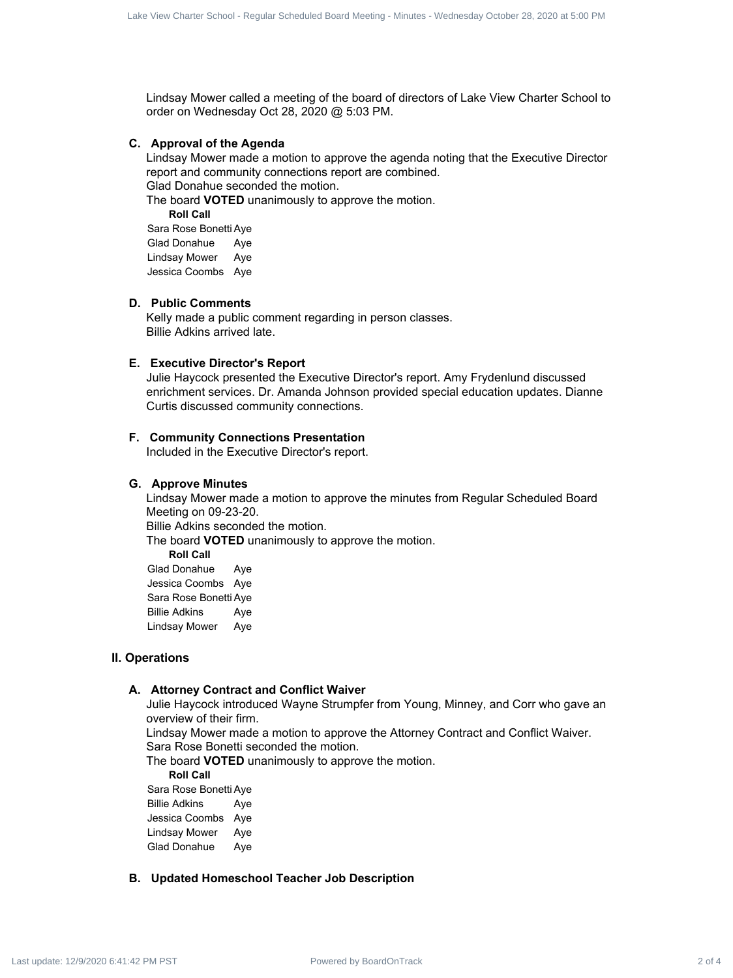Lindsay Mower called a meeting of the board of directors of Lake View Charter School to order on Wednesday Oct 28, 2020 @ 5:03 PM.

#### **C. Approval of the Agenda**

Lindsay Mower made a motion to approve the agenda noting that the Executive Director report and community connections report are combined.

Glad Donahue seconded the motion.

The board **VOTED** unanimously to approve the motion.

**Roll Call** Sara Rose Bonetti Aye Glad Donahue Aye Lindsay Mower Aye Jessica Coombs Aye

#### **D. Public Comments**

Kelly made a public comment regarding in person classes. Billie Adkins arrived late.

#### **E. Executive Director's Report**

Julie Haycock presented the Executive Director's report. Amy Frydenlund discussed enrichment services. Dr. Amanda Johnson provided special education updates. Dianne Curtis discussed community connections.

#### **F. Community Connections Presentation**

Included in the Executive Director's report.

#### **G. Approve Minutes**

Lindsay Mower made a motion to approve the minutes from Regular Scheduled Board Meeting on 09-23-20. Billie Adkins seconded the motion. The board **VOTED** unanimously to approve the motion. **Roll Call** Glad Donahue Aye Jessica Coombs Aye Sara Rose Bonetti Aye Billie Adkins Aye Lindsay Mower Aye Contract 2 of 4 Lake Market 2 of 4 Lake View Charter School - Regular Schedule Schedule School - Regular School - Regular Schedule Distribution - Minutes - Wednesday October 2020 at 5:00 PM Lake University of 12/9/2020 at

#### **II. Operations**

#### **A. Attorney Contract and Conflict Waiver**

Julie Haycock introduced Wayne Strumpfer from Young, Minney, and Corr who gave an overview of their firm.

Lindsay Mower made a motion to approve the Attorney Contract and Conflict Waiver. Sara Rose Bonetti seconded the motion.

The board **VOTED** unanimously to approve the motion.

**Roll Call**

Sara Rose Bonetti Aye Billie Adkins Aye Jessica Coombs Aye Lindsay Mower Aye Glad Donahue Aye

#### **B. Updated Homeschool Teacher Job Description**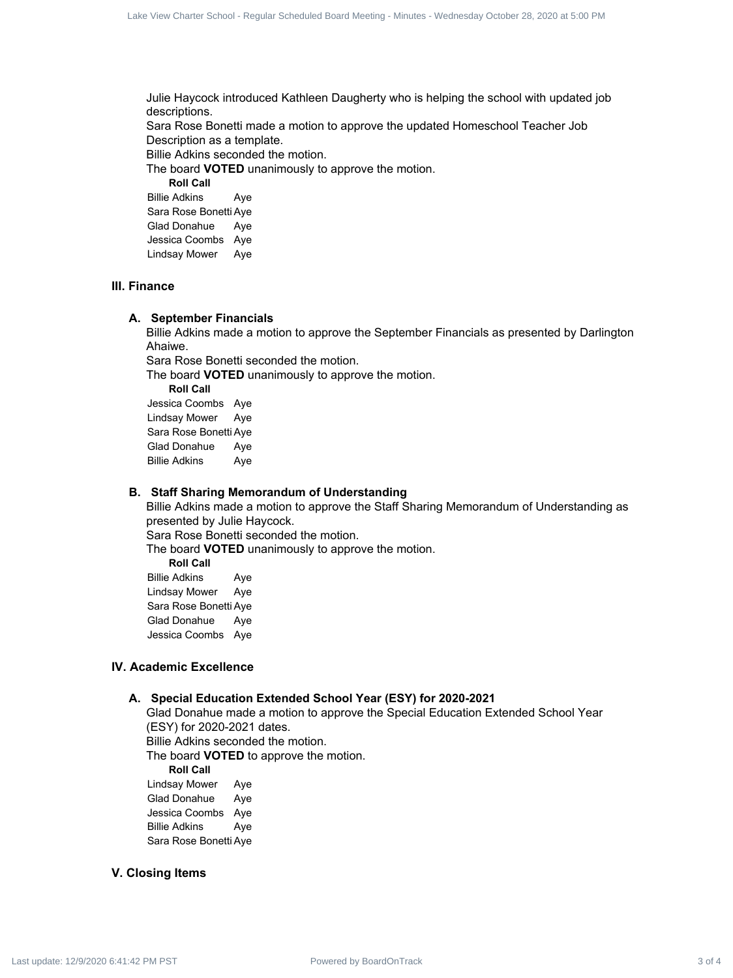Julie Haycock introduced Kathleen Daugherty who is helping the school with updated job descriptions. Sara Rose Bonetti made a motion to approve the updated Homeschool Teacher Job Description as a template. Power Contract 3 of 4 Lake View Charter 3 of 4 Lake View Charter 3 of 4 Lake View Charter 3 of 4 Lake View Charter School - Regular Schedule Board - Minutes - Wednesday October 28, 2020 at 5:00 PM Lake View Charter Schedul

Billie Adkins seconded the motion.

The board **VOTED** unanimously to approve the motion.

**Roll Call**

Billie Adkins Aye Sara Rose Bonetti Aye Glad Donahue Aye Jessica Coombs Aye Lindsay Mower Aye

#### **III. Finance**

#### **A. September Financials**

Billie Adkins made a motion to approve the September Financials as presented by Darlington Ahaiwe.

Sara Rose Bonetti seconded the motion.

The board **VOTED** unanimously to approve the motion.

**Roll Call**

Jessica Coombs Aye Lindsay Mower Aye Sara Rose Bonetti Aye Glad Donahue Aye Billie Adkins Aye

#### **B. Staff Sharing Memorandum of Understanding**

Billie Adkins made a motion to approve the Staff Sharing Memorandum of Understanding as presented by Julie Haycock. Sara Rose Bonetti seconded the motion.

The board **VOTED** unanimously to approve the motion.

**Roll Call** Billie Adkins Aye Lindsay Mower Aye Sara Rose Bonetti Aye Glad Donahue Aye

Jessica Coombs Aye

#### **IV. Academic Excellence**

#### **A. Special Education Extended School Year (ESY) for 2020-2021**

Glad Donahue made a motion to approve the Special Education Extended School Year (ESY) for 2020-2021 dates. Billie Adkins seconded the motion.

The board **VOTED** to approve the motion.

**Roll Call**

Lindsay Mower Aye Glad Donahue Aye Jessica Coombs Aye Billie Adkins Aye Sara Rose Bonetti Aye

#### **V. Closing Items**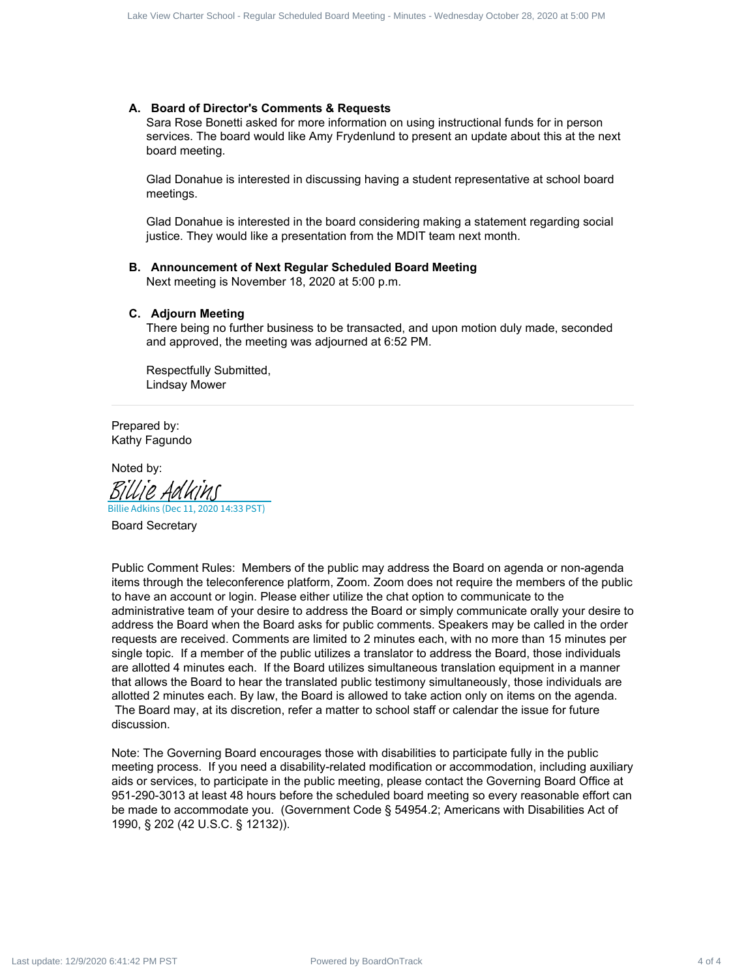#### **A. Board of Director's Comments & Requests**

Sara Rose Bonetti asked for more information on using instructional funds for in person services. The board would like Amy Frydenlund to present an update about this at the next board meeting.

Glad Donahue is interested in discussing having a student representative at school board meetings.

Glad Donahue is interested in the board considering making a statement regarding social justice. They would like a presentation from the MDIT team next month.

#### **B. Announcement of Next Regular Scheduled Board Meeting**

Next meeting is November 18, 2020 at 5:00 p.m.

#### **C. Adjourn Meeting**

There being no further business to be transacted, and upon motion duly made, seconded and approved, the meeting was adjourned at 6:52 PM.

Respectfully Submitted, Lindsay Mower

Prepared by: Kathy Fagundo

Noted by: Billie Adkins (Dec 11, 2020 14:33 PST) [Billie Adkins](https://na2.documents.adobe.com/verifier?tx=CBJCHBCAABAAtbpMwoaXjiSCaecWfU-zQ1gChWFOTWcM)

Board Secretary

Public Comment Rules: Members of the public may address the Board on agenda or non-agenda items through the teleconference platform, Zoom. Zoom does not require the members of the public to have an account or login. Please either utilize the chat option to communicate to the administrative team of your desire to address the Board or simply communicate orally your desire to address the Board when the Board asks for public comments. Speakers may be called in the order requests are received. Comments are limited to 2 minutes each, with no more than 15 minutes per single topic. If a member of the public utilizes a translator to address the Board, those individuals are allotted 4 minutes each. If the Board utilizes simultaneous translation equipment in a manner that allows the Board to hear the translated public testimony simultaneously, those individuals are allotted 2 minutes each. By law, the Board is allowed to take action only on items on the agenda. The Board may, at its discretion, refer a matter to school staff or calendar the issue for future discussion. Fowered by Board Alberta 4 Care Comments & Requests <br>
A Board of Director Schedule Charter Schedule and the state of 4 Lake View Charter Schedule Board Meeting - Wednesday October 28, 2020 at 5:00 PM Lace Charter Schedule

Note: The Governing Board encourages those with disabilities to participate fully in the public meeting process. If you need a disability-related modification or accommodation, including auxiliary aids or services, to participate in the public meeting, please contact the Governing Board Office at 951-290-3013 at least 48 hours before the scheduled board meeting so every reasonable effort can be made to accommodate you. (Government Code § 54954.2; Americans with Disabilities Act of 1990, § 202 (42 U.S.C. § 12132)).